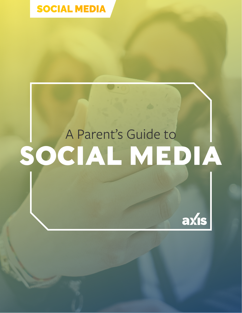

# A Parent's Guide to **SOCIAL MEDIA**

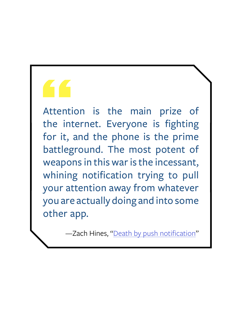# Attenti<br>
the int

Attention is the main prize of the internet. Everyone is fighting for it, and the phone is the prime battleground. The most potent of weapons in this war is the incessant, whining notification trying to pull your attention away from whatever you are actually doing and into some other app.

—Zach Hines, "[Death by push notification](https://www.engadget.com/2018/11/16/never-turn-on-every-push-notification/)"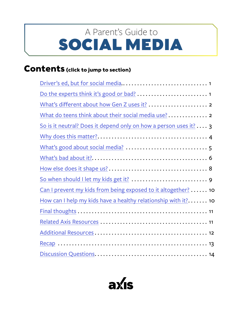# <span id="page-2-0"></span>SOCIAL MEDIA A Parent's Guide to

#### **Contents (click to jump to section)**

| What do teens think about their social media use? 2              |
|------------------------------------------------------------------|
| So is it neutral? Does it depend only on how a person uses it? 3 |
|                                                                  |
|                                                                  |
|                                                                  |
|                                                                  |
|                                                                  |
| Can I prevent my kids from being exposed to it altogether?  10   |
| How can I help my kids have a healthy relationship with it? 10   |
|                                                                  |
|                                                                  |
|                                                                  |
|                                                                  |
|                                                                  |

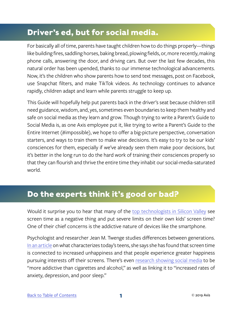#### <span id="page-3-0"></span>**Driver's ed, but for social media.**

For basically all of time, parents have taught children how to do things properly—things like building fires, saddling horses, baking bread, plowing fields, or, more recently, making phone calls, answering the door, and driving cars. But over the last few decades, this natural order has been upended, thanks to our immense technological advancements. Now, it's the children who show parents how to send text messages, post on Facebook, use Snapchat filters, and make TikTok videos. As technology continues to advance rapidly, children adapt and learn while parents struggle to keep up.

This Guide will hopefully help put parents back in the driver's seat because children still need guidance, wisdom, and, yes, sometimes even boundaries to keep them healthy and safe on social media as they learn and grow. Though trying to write a Parent's Guide to Social Media is, as one Axis employee put it, like trying to write a Parent's Guide to the Entire Internet (#impossible), we hope to offer a big-picture perspective, conversation starters, and ways to train them to make wise decisions. It's easy to try to be our kids' consciences for them, especially if we've already seen them make poor decisions, but it's better in the long run to do the hard work of training their consciences properly so that they can flourish and thrive the entire time they inhabit our social-media-saturated world.

#### **Do the experts think it's good or bad?**

Would it surprise you to hear that many of the [top technologists in Silicon Valley](https://www.nytimes.com/2018/10/26/style/phones-children-silicon-valley.html) see screen time as a negative thing and put severe limits on their own kids' screen time? One of their chief concerns is the addictive nature of devices like the smartphone.

Psychologist and researcher Jean M. Twenge studies differences between generations. [In an article](https://www.theatlantic.com/magazine/archive/2017/09/has-the-smartphone-destroyed-a-generation/534198/) on what characterizes today's teens, she says she has found that screen time is connected to increased unhappiness and that people experience greater happiness pursuing interests off their screens. There's even [research showing social media](https://www.rsph.org.uk/uploads/assets/uploaded/62be270a-a55f-4719-ad668c2ec7a74c2a.pdf) to be "more addictive than cigarettes and alcohol," as well as linking it to "increased rates of anxiety, depression, and poor sleep."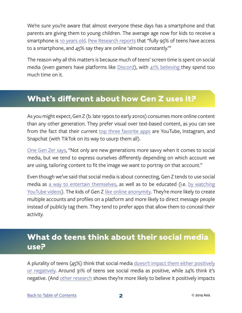<span id="page-4-0"></span>We're sure you're aware that almost everyone these days has a smartphone and that parents are giving them to young children. The average age now for kids to receive a smartphone is [10 years old.](https://www.businessinsider.com/the-safest-age-to-give-your-child-a-smartphone-2017-5) [Pew Research reports](http://www.pewinternet.org/2018/05/31/teens-social-media-technology-2018/) that "fully 95% of teens have access to a smartphone, and 45% say they are online 'almost constantly.'"

The reason why all this matters is because much of teens' screen time is spent on social media (even gamers have platforms like [Discord\)](https://axis.org/guides#img-45087), with  $41\%$  believing they spend too much time on it.

#### **What's different about how Gen Z uses it?**

As you might expect, Gen Z (b. late 1990s to early 2010s) consumes more online content than any other generation. They prefer visual over text-based content, as you can see from the fact that their current [top three favorite apps](https://www.criteo.com/insights/gen-z-social-media/) are YouTube, Instagram, and Snapchat (with TikTok on its way to usurp them all).

[One Gen Zer says,](https://www.conveyancemarketinggroup.com/social-media-eyes-generation-z/) "Not only are new generations more savvy when it comes to social media, but we tend to express ourselves differently depending on which account we are using, tailoring content to fit the image we want to portray on that account."

Even though we've said that social media is about connecting, Gen Z tends to use social media as [a way to entertain themselves](https://wearesocial.com/blog/2018/03/three-differences-gen-z-millennials-use-social-media), as well as to be educated (i.e. by watching [YouTube videos\)](https://genhq.com/how-does-gen-z-actually-use-youtube/). The kids of Gen Z [like online anonymity](https://blog.hootsuite.com/generation-z-statistics-social-marketers/). They're more likely to create multiple accounts and profiles on a platform and more likely to direct message people instead of publicly tag them. They tend to prefer apps that allow them to conceal their activity.

#### **What do teens think about their social media use?**

A plurality of teens (45%) think that social media [doesn't impact them either positively](http://www.pewinternet.org/2018/05/31/teens-social-media-technology-2018/) [or negatively.](http://www.pewinternet.org/2018/05/31/teens-social-media-technology-2018/) Around 31% of teens see social media as positive, while 24% think it's negative. (And [other research](http://www.pewinternet.org/2018/11/28/teens-social-media-habits-and-experiences/) shows they're more likely to believe it positively impacts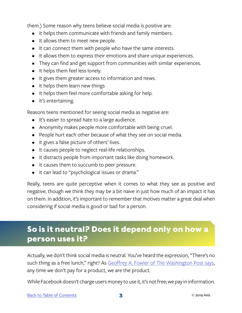<span id="page-5-0"></span>them.) Some reason why teens believe social media is positive are:

- It helps them communicate with friends and family members.
- It allows them to meet new people.
- It can connect them with people who have the same interests.
- It allows them to express their emotions and share unique experiences.
- They can find and get support from communities with similar experiences.
- It helps them feel less lonely.
- It gives them greater access to information and news.
- It helps them learn new things
- It helps them feel more comfortable asking for help.
- It's entertaining.

Reasons teens mentioned for seeing social media as negative are:

- It's easier to spread hate to a large audience.
- Anonymity makes people more comfortable with being cruel.
- People hurt each other because of what they see on social media.
- It gives a false picture of others' lives.
- It causes people to neglect real-life relationships.
- It distracts people from important tasks like doing homework.
- It causes them to succumb to peer pressure.
- It can lead to "psychological issues or drama."

Really, teens are quite perceptive when it comes to what they see as positive and negative, though we think they may be a bit naive in just how much of an impact it has on them. In addition, it's important to remember that motives matter a great deal when considering if social media is good or bad for a person.

#### **So is it neutral? Does it depend only on how a person uses it?**

Actually, we don't think social media is neutral. You've heard the expression, "There's no such thing as a free lunch," right? As [Geoffrey A. Fowler of The Washington Post says](https://www.washingtonpost.com/news/the-switch/wp/2018/04/05/what-if-we-paid-for-facebook-instead-of-letting-it-spy-on-us-for-free/?utm_term=.9ce533b9fca9), any time we don't pay for a product, we are the product.

While Facebook doesn't charge users money to use it, it's not free; we pay in information.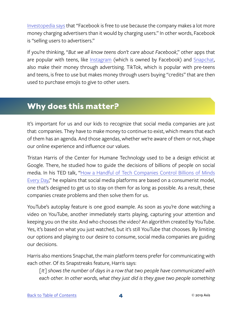<span id="page-6-0"></span>[Investopedia says](https://www.investopedia.com/articles/markets/120315/why-facebook-free-use.asp) that "Facebook is free to use because the company makes a lot more money charging advertisers than it would by charging users." In other words, Facebook is "selling users to advertisers."

If you're thinking, "*But we all know teens don't care about Facebook*," other apps that are popular with teens, like [Instagram](https://www.investopedia.com/articles/personal-finance/030915/how-instagram-makes-money.asp) (which is owned by Facebook) and [Snapchat](https://www.recode.net/2016/8/17/12504144/how-snapchat-makes-money-from-disappearing-videos), also make their money through advertising. TikTok, which is popular with pre-teens and teens, is free to use but makes money through users buying "credits" that are then used to purchase emojis to give to other users.

#### **Why does this matter?**

It's important for us and our kids to recognize that social media companies are just that: companies. They have to make money to continue to exist, which means that each of them has an agenda. And those agendas, whether we're aware of them or not, shape our online experience and influence our values.

Tristan Harris of the Center for Humane Technology used to be a design ethicist at Google. There, he studied how to guide the decisions of billions of people on social media. In his TED talk, "[How a Handful of Tech Companies Control Billions of Minds](https://www.ted.com/talks/tristan_harris_the_manipulative_tricks_tech_companies_use_to_capture_your_attention/transcript) [Every Day](https://www.ted.com/talks/tristan_harris_the_manipulative_tricks_tech_companies_use_to_capture_your_attention/transcript)," he explains that social media platforms are based on a consumerist model, one that's designed to get us to stay on them for as long as possible. As a result, these companies create problems and then solve them for us.

YouTube's autoplay feature is one good example. As soon as you're done watching a video on YouTube, another immediately starts playing, capturing your attention and keeping you on the site. And who chooses the video? An algorithm created by YouTube. Yes, it's based on what you just watched, but it's still YouTube that chooses. By limiting our options and playing to our desire to consume, social media companies are guiding our decisions.

Harris also mentions Snapchat, the main platform teens prefer for communicating with each other. Of its Snapstreaks feature, Harris says:

*[It] shows the number of days in a row that two people have communicated with*  each other. In other words, what they just did is they gave two people something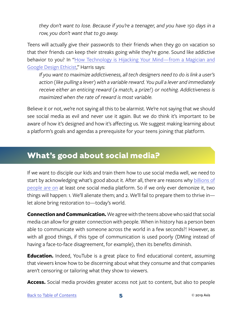<span id="page-7-0"></span>*they don't want to lose. Because if you're a teenager, and you have 150 days in a row, you don't want that to go away.*

Teens will actually give their passwords to their friends when they go on vacation so that their friends can keep their streaks going while they're gone. Sound like addictive behavior to you? In "[How Technology is Hijacking Your Mind—from a Magician and](https://medium.com/thrive-global/how-technology-hijacks-peoples-minds-from-a-magician-and-google-s-design-ethicist-56d62ef5edf3) [Google Design Ethicist](https://medium.com/thrive-global/how-technology-hijacks-peoples-minds-from-a-magician-and-google-s-design-ethicist-56d62ef5edf3)," Harris says:

*If you want to maximize addictiveness, all tech designers need to do is link a user's action (like pulling a lever) with a variable reward. You pull a lever and immediately receive either an enticing reward (a match, a prize!) or nothing. Addictiveness is maximized when the rate of reward is most variable.*

Believe it or not, we're not saying all this to be alarmist. We're not saying that we should see social media as evil and never use it again. But we do think it's important to be aware of how it's designed and how it's affecting us. We suggest making learning about a platform's goals and agendas a prerequisite for your teens joining that platform.

#### **What's good about social media?**

If we want to disciple our kids and train them how to use social media well, we need to start by acknowledging what's good about it. After all, there are reasons why [billions of](https://www.statista.com/statistics/278414/number-of-worldwide-social-network-users/) [people are on](https://www.statista.com/statistics/278414/number-of-worldwide-social-network-users/) at least one social media platform. So if we only ever demonize it, two things will happen: 1. We'll alienate them; and 2. We'll fail to prepare them to thrive in let alone bring restoration to—today's world.

**Connection and Communication.** We agree with the teens above who said that social media can allow for greater connection with people. When in history has a person been able to communicate with someone across the world in a few seconds?! However, as with all good things, if this type of communication is used poorly (DMing instead of having a face-to-face disagreement, for example), then its benefits diminish.

**Education.** Indeed, YouTube is a great place to find educational content, assuming that viewers know how to be discerning about what they consume and that companies aren't censoring or tailoring what they show to viewers.

**Access.** Social media provides greater access not just to content, but also to people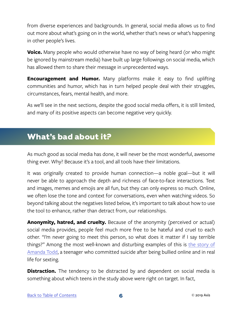<span id="page-8-0"></span>from diverse experiences and backgrounds. In general, social media allows us to find out more about what's going on in the world, whether that's news or what's happening in other people's lives.

**Voice.** Many people who would otherwise have no way of being heard (or who might be ignored by mainstream media) have built up large followings on social media, which has allowed them to share their message in unprecedented ways.

**Encouragement and Humor.** Many platforms make it easy to find uplifting communities and humor, which has in turn helped people deal with their struggles, circumstances, fears, mental health, and more.

As we'll see in the next sections, despite the good social media offers, it is still limited, and many of its positive aspects can become negative very quickly.

#### **What's bad about it?**

As much good as social media has done, it will never be the most wonderful, awesome thing ever. Why? Because it's a tool, and all tools have their limitations.

It was originally created to provide human connection—a noble goal—but it will never be able to approach the depth and richness of face-to-face interactions. Text and images, memes and emojis are all fun, but they can only express so much. Online, we often lose the tone and context for conversations, even when watching videos. So beyond talking about the negatives listed below, it's important to talk about how to use the tool to enhance, rather than detract from, our relationships.

**Anonymity, hatred, and cruelty.** Because of the anonymity (perceived or actual) social media provides, people feel much more free to be hateful and cruel to each other. "I'm never going to meet this person, so what does it matter if I say terrible things?" Among the most well-known and disturbing examples of this is the story of [Amanda Todd,](http://www.vancouversun.com/technology/amanda+todd+mother+speaks+about+daughter+bullying/7384521/story.html) a teenager who committed suicide after being bullied online and in real life for sexting.

**Distraction.** The tendency to be distracted by and dependent on social media is something about which teens in the study above were right on target. In fact,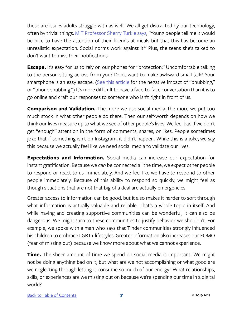these are issues adults struggle with as well! We all get distracted by our technology, often by trivial things. [MIT Professor Sherry Turkle says](https://www.amazon.com/Reclaiming-Conversation-Power-Talk-Digital/dp/0143109790/ref=sr_1_1?ie=UTF8&qid=1544065134&sr=8-1&keywords=reclaiming+conversation+the+power+of+talk+in+the+digital+age), "Young people tell me it would be nice to have the attention of their friends at meals but that this has become an unrealistic expectation. Social norms work against it." Plus, the teens she's talked to don't want to miss their notifications.

**Escape.** It's easy for us to rely on our phones for "protection." Uncomfortable talking to the person sitting across from you? Don't want to make awkward small talk? Your smartphone is an easy escape. ([See this article](http://time.com/5216853/what-is-phubbing/) for the negative impact of "phubbing," or "phone snubbing.") It's more difficult to have a face-to-face conversation than it is to go online and craft our responses to someone who isn't right in front of us.

**Comparison and Validation.** The more we use social media, the more we put too much stock in what other people do there. Then our self-worth depends on how we think our lives measure up to what we see of other people's lives. We feel bad if we don't get "enough" attention in the form of comments, shares, or likes. People sometimes joke that if something isn't on Instagram, it didn't happen. While this is a joke, we say this because we actually feel like we need social media to validate our lives.

**Expectations and Information.** Social media can increase our expectation for instant gratification. Because we *can* be connected all the time, we expect other people to respond or react to us immediately. And we feel like we have to respond to other people immediately. Because of this ability to respond so quickly, we might feel as though situations that are not that big of a deal are actually emergencies.

Greater access to information can be good, but it also makes it harder to sort through what information is actually valuable and reliable. That's a whole topic in itself. And while having and creating supportive communities can be wonderful, it can also be dangerous. We might turn to these communities to justify behavior we shouldn't. For example, we spoke with a man who says that Tinder communities strongly influenced his children to embrace LGBT+ lifestyles. Greater information also increases our FOMO (fear of missing out) because we know more about what we cannot experience.

**Time.** The sheer amount of time we spend on social media is important. We might not be doing anything bad on it, but what are we not accomplishing or what good are we neglecting through letting it consume so much of our energy? What relationships, skills, or experiences are we missing out on because we're spending our time in a digital world?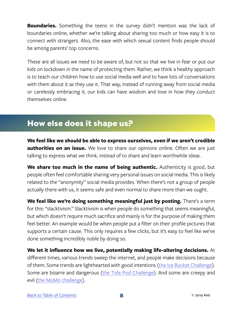<span id="page-10-0"></span>**Boundaries.** Something the teens in the survey didn't mention was the lack of boundaries online, whether we're talking about sharing too much or how easy it is to connect with strangers. Also, the ease with which sexual content finds people should be among parents' top concerns.

These are all issues we need to be aware of, but not so that we live in fear or put our kids on lockdown in the name of protecting them. Rather, we think a healthy approach is to teach our children how to use social media well and to have lots of conversations with them about it as they use it. That way, instead of running away from social media or carelessly embracing it, our kids can have wisdom and love in how they conduct themselves online.

#### **How else does it shape us?**

**We feel like we should be able to express ourselves, even if we aren't credible authorities on an issue.** We love to share our opinions online. Often we are just talking to express what we think, instead of to share and learn worthwhile ideas.

**We share too much in the name of being authentic.** Authenticity is good, but people often feel comfortable sharing very personal issues on social media. This is likely related to the "anonymity" social media provides. When there's not a group of people actually there with us, it seems safe and even normal to share more than we ought.

**We feel like we're doing something meaningful just by posting.** There's a term for this: "slacktivism." Slacktivism is when people do something that seems meaningful, but which doesn't require much sacrifice and mainly is for the purpose of making them feel better. An example would be when people put a filter on their profile pictures that supports a certain cause. This only requires a few clicks, but it's easy to feel like we've done something incredibly noble by doing so.

**We let it influence how we live, potentially making life-altering decisions.** At different times, various trends sweep the internet, and people make decisions because of them. Some trends are lighthearted with good intentions ([the Ice Bucket Challenge](https://en.wikipedia.org/wiki/Ice_Bucket_Challenge)). Some are bizarre and dangerous [\(the Tide Pod Challenge](https://www.washingtonpost.com/news/to-your-health/wp/2018/01/13/teens-are-daring-each-other-to-eat-tide-pods-we-dont-need-to-tell-you-thats-a-bad-idea/?utm_term=.9628c71dd1e6)). And some are creepy and evil [\(the MoMo challenge](https://www.washingtonpost.com/news/morning-mix/wp/2018/09/05/the-momo-challenge-a-sinister-threat-to-young-people-or-an-urban-myth/?utm_term=.6eabddae39bd)).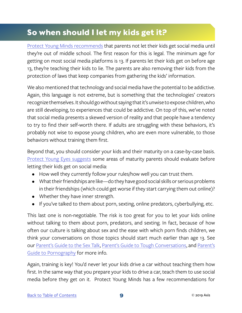#### <span id="page-11-0"></span>**So when should I let my kids get it?**

[Protect Young Minds recommends](https://protectyoungminds.org/2018/01/18/social-media-not-smart-middle-school-kids/) that parents not let their kids get social media until they're out of middle school. The first reason for this is legal. The minimum age for getting on most social media platforms is 13. If parents let their kids get on before age 13, they're teaching their kids to lie. The parents are also removing their kids from the protection of laws that keep companies from gathering the kids' information.

We also mentioned that technology and social media have the potential to be addictive. Again, this language is not extreme, but is something that the technologies' creators recognize themselves. It should go without saying that it's unwise to expose children, who are still developing, to experiences that could be addictive. On top of this, we've noted that social media presents a skewed version of reality and that people have a tendency to try to find their self-worth there. If adults are struggling with these behaviors, it's probably not wise to expose young children, who are even more vulnerable, to those behaviors without training them first.

Beyond that, you should consider your kids and their maturity on a case-by-case basis. [Protect Young Eyes suggests](https://protectyoungeyes.com/whats-right-age-social-media/) some areas of maturity parents should evaluate before letting their kids get on social media:

- How well they currently follow your rules/how well you can trust them.
- What their friendships are like—do they have good social skills or serious problems in their friendships (which could get worse if they start carrying them out online)?
- Whether they have inner strength.
- If you've talked to them about porn, sexting, online predators, cyberbullying, etc.

This last one is non-negotiable. The risk is too great for you to let your kids online without talking to them about porn, predators, and sexting. In fact, because of how often our culture is talking about sex and the ease with which porn finds children, we think your conversations on those topics should start much earlier than age 13. See our [Parent's Guide to the Sex Talk,](https://axis.org/guides#img-72554) [Parent's Guide to Tough Conversations](https://axis.org/guides#img-78521), and [Parent's](https://axis.org/guides#img-63447) [Guide to Pornography](https://axis.org/guides#img-63447) for more info.

Again, training is key! You'd never let your kids drive a car without teaching them how first. In the same way that you prepare your kids to drive a car, teach them to use social media before they get on it. Protect Young Minds has a few recommendations for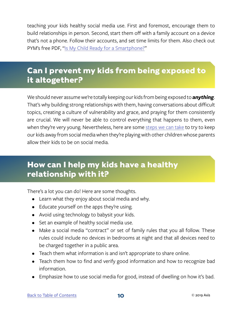<span id="page-12-0"></span>teaching your kids healthy social media use. First and foremost, encourage them to build relationships in person. Second, start them off with a family account on a device that's not a phone. Follow their accounts, and set time limits for them. Also check out PYM's free PDF, "[Is My Child Ready for a Smartphone?"](https://protectyoungminds.org/2018/01/18/social-media-not-smart-middle-school-kids/)

#### **Can I prevent my kids from being exposed to it altogether?**

We should never assume we're totally keeping our kids from being exposed to *anything*. That's why building strong relationships with them, having conversations about difficult topics, creating a culture of vulnerability and grace, and praying for them consistently are crucial. We will never be able to control everything that happens to them, even when they're very young. Nevertheless, here are some [steps we can take](https://protectyoungminds.org/2017/10/19/safe-playdates-media-ground-rules/) to try to keep our kids away from social media when they're playing with other children whose parents allow their kids to be on social media.

#### **How can I help my kids have a healthy relationship with it?**

There's a lot you can do! Here are some thoughts.

- Learn what they enjoy about social media and why.
- Educate yourself on the apps they're using.
- Avoid using technology to babysit your kids.
- Set an example of healthy social media use.
- Make a social media "contract" or set of family rules that you all follow. These rules could include no devices in bedrooms at night and that all devices need to be charged together in a public area.
- Teach them what information is and isn't appropriate to share online.
- Teach them how to find and verify good information and how to recognize bad information.
- Emphasize how to use social media for good, instead of dwelling on how it's bad.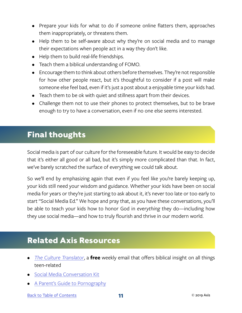- <span id="page-13-0"></span>• Prepare your kids for what to do if someone online flatters them, approaches them inappropriately, or threatens them.
- Help them to be self-aware about why they're on social media and to manage their expectations when people act in a way they don't like.
- Help them to build real-life friendships.
- Teach them a biblical understanding of FOMO.
- Encourage them to think about others before themselves. They're not responsible for how other people react, but it's thoughtful to consider if a post will make someone else feel bad, even if it's just a post about a enjoyable time your kids had.
- Teach them to be ok with quiet and stillness apart from their devices.
- Challenge them not to use their phones to protect themselves, but to be brave enough to try to have a conversation, even if no one else seems interested.

#### **Final thoughts**

Social media is part of our culture for the foreseeable future. It would be easy to decide that it's either all good or all bad, but it's simply more complicated than that. In fact, we've barely scratched the surface of everything we could talk about.

So we'll end by emphasizing again that even if you feel like you're barely keeping up, your kids still need your wisdom and guidance. Whether your kids have been on social media for years or they're just starting to ask about it, it's never too late or too early to start "Social Media Ed." We hope and pray that, as you have these conversations, you'll be able to teach your kids how to honor God in *everything* they do—including how they use social media—and how to truly flourish and thrive in our modern world.

#### **Related Axis Resources**

- *• [The Culture Translator](http://axis.org/ct)*, a **free** weekly email that offers biblical insight on all things teen-related
- [Social Media Conversation Kit](https://axis.org/product/social-media/)
- [A Parent's Guide to Pornography](https://axis.org/product/the-pornography-bundle/)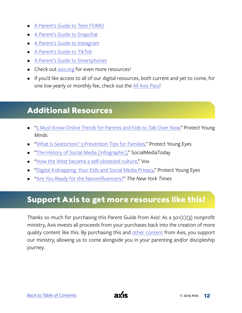- <span id="page-14-0"></span>• [A Parent's Guide to Teen FOMO](https://axis.org/product/membership-product-for-teen-fomo/)
- [A Parent's Guide to Snapchat](https://axis.org/product/a-parents-guide-to-snapchat/)
- [A Parent's Guide to Instagram](https://axis.org/product/membership-product-for-instagram/)
- [A Parent's Guide to TikTok](https://axis.org/product/membership-product-for-tiktok/)
- [A Parent's Guide to Smartphones](https://axis.org/product/membership-product-for-smart-phones/)
- Check out [axis.org](https://axis.org) for even more resources!
- If you'd like access to all of our digital resources, both current and yet to come, for one low yearly or monthly fee, check out the [All Axis Pass](https://axis.org/aap)!

#### **Additional Resources**

- ["5 Must-Know Online Trends for Parents and Kids to Talk Over Now,](https://protectyoungminds.org/2018/10/09/5-must-know-online-trends-parents-kids-talk/)" Protect Young Minds
- ["What Is Sextortion? 3 Prevention Tips for Families](https://protectyoungeyes.com/what-is-sextortion-3-prevention-tips-for-families/)," Protect Young Eyes
- ["The History of Social Media \[Infographic\],](https://www.socialmediatoday.com/news/the-history-of-social-media-infographic-1/522285/)" SocialMediaToday
- ["How the West became a self-obsessed culture](https://www.vox.com/science-and-health/2018/7/19/17518086/selfie-will-storr-book-psychology-west)," Vox
- ["Digital Kidnapping: Your Kids and Social Media Privacy](https://protectyoungeyes.com/digital-kidnapping-your-kids-and-social-media-privacy/)," Protect Young Eyes
- ["Are You Ready for the Nanoinfluencers?](https://www.nytimes.com/2018/11/11/business/media/nanoinfluencers-instagram-influencers.html)" *The New York Times*

#### **Support Axis to get more resources like this!**

Thanks so much for purchasing this Parent Guide from Axis! As a  $501(c)(3)$  nonprofit ministry, Axis invests all proceeds from your purchases back into the creation of more quality content like this. By purchasing this and [other content](https://axis.org) from Axis, you support our ministry, allowing us to come alongside you in your parenting and/or discipleship journey.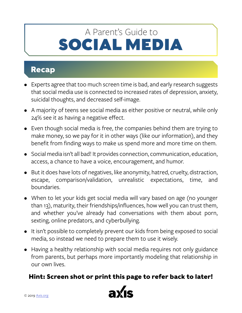### <span id="page-15-0"></span>SOCIAL MEDIA A Parent's Guide to

#### **Recap**

- Experts agree that too much screen time is bad, and early research suggests that social media use is connected to increased rates of depression, anxiety, suicidal thoughts, and decreased self-image.
- A majority of teens see social media as either positive or neutral, while only 24% see it as having a negative effect.
- Even though social media is free, the companies behind them are trying to make money, so we pay for it in other ways (like our information), and they benefit from finding ways to make us spend more and more time on them.
- Social media isn't all bad! It provides connection, communication, education, access, a chance to have a voice, encouragement, and humor.
- But it does have lots of negatives, like anonymity, hatred, cruelty, distraction, escape, comparison/validation, unrealistic expectations, time, and boundaries.
- When to let your kids get social media will vary based on age (no younger than 13), maturity, their friendships/influences, how well you can trust them, and whether you've already had conversations with them about porn, sexting, online predators, and cyberbullying.
- It isn't possible to completely prevent our kids from being exposed to social media, so instead we need to prepare them to use it wisely.
- Having a healthy relationship with social media requires not only guidance from parents, but perhaps more importantly modeling that relationship in our own lives.

#### **Hint: Screen shot or print this page to refer back to later!**